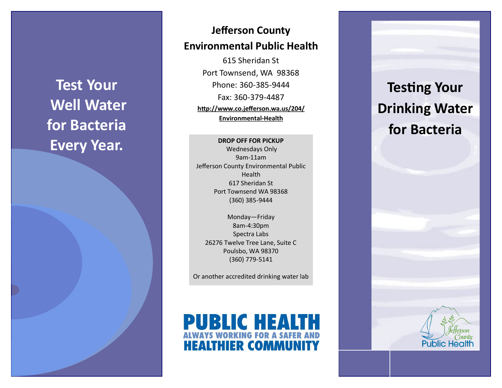**Test Your Well Water for Bacteria Every Year.**

# **Jefferson County Environmental Public Health**

615 Sheridan St Port Townsend, WA 98368 Phone: 360-385-9444 Fax: 360-379-4487 **http://www.co.jefferson.wa.us/204/ Environmental-Health**

**DROP OFF FOR PICKUP** Wednesdays Only 9am-11am Jefferson County Environmental Public Health 617 Sheridan St Port Townsend WA 98368 (360) 385-9444

Monday—Friday 8am-4:30pm Spectra Labs 26276 Twelve Tree Lane, Suite C Poulsbo, WA 98370 (360) 779-5141

Or another accredited drinking water lab



# **Testing Your Drinking Water for Bacteria**